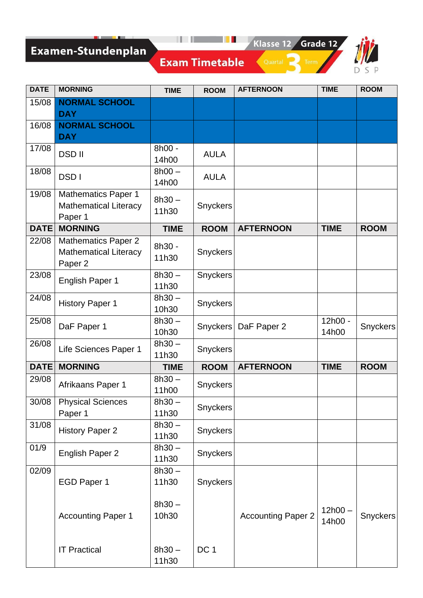# Examen-Stundenplan

Quartal de Term



| <b>DATE</b> | <b>MORNING</b>                                                        | <b>TIME</b>       | <b>ROOM</b>     | <b>AFTERNOON</b>          | <b>TIME</b>        | <b>ROOM</b>     |
|-------------|-----------------------------------------------------------------------|-------------------|-----------------|---------------------------|--------------------|-----------------|
| 15/08       | <b>NORMAL SCHOOL</b><br><b>DAY</b>                                    |                   |                 |                           |                    |                 |
| 16/08       | <b>NORMAL SCHOOL</b><br><b>DAY</b>                                    |                   |                 |                           |                    |                 |
| 17/08       | <b>DSDII</b>                                                          | 8h00 -<br>14h00   | <b>AULA</b>     |                           |                    |                 |
| 18/08       | <b>DSDI</b>                                                           | $8h00 -$<br>14h00 | <b>AULA</b>     |                           |                    |                 |
| 19/08       | <b>Mathematics Paper 1</b><br><b>Mathematical Literacy</b><br>Paper 1 | $8h30 -$<br>11h30 | Snyckers        |                           |                    |                 |
| <b>DATE</b> | <b>MORNING</b>                                                        | <b>TIME</b>       | <b>ROOM</b>     | <b>AFTERNOON</b>          | <b>TIME</b>        | <b>ROOM</b>     |
| 22/08       | <b>Mathematics Paper 2</b><br><b>Mathematical Literacy</b><br>Paper 2 | 8h30 -<br>11h30   | Snyckers        |                           |                    |                 |
| 23/08       | <b>English Paper 1</b>                                                | $8h30 -$<br>11h30 | Snyckers        |                           |                    |                 |
| 24/08       | <b>History Paper 1</b>                                                | $8h30 -$<br>10h30 | Snyckers        |                           |                    |                 |
| 25/08       | DaF Paper 1                                                           | $8h30 -$<br>10h30 | <b>Snyckers</b> | DaF Paper 2               | 12h00 -<br>14h00   | <b>Snyckers</b> |
| 26/08       | Life Sciences Paper 1                                                 | $8h30 -$<br>11h30 | Snyckers        |                           |                    |                 |
| <b>DATE</b> | <b>MORNING</b>                                                        | <b>TIME</b>       | <b>ROOM</b>     | <b>AFTERNOON</b>          | <b>TIME</b>        | <b>ROOM</b>     |
| 29/08       | Afrikaans Paper 1                                                     | $8h30 -$<br>11h00 | <b>Snyckers</b> |                           |                    |                 |
|             | 30/08   Physical Sciences<br>Paper 1                                  | $8h30 -$<br>11h30 | Snyckers        |                           |                    |                 |
| 31/08       | <b>History Paper 2</b>                                                | $8h30 -$<br>11h30 | Snyckers        |                           |                    |                 |
| 01/9        | English Paper 2                                                       | $8h30 -$<br>11h30 | Snyckers        |                           |                    |                 |
| 02/09       | EGD Paper 1                                                           | $8h30 -$<br>11h30 | Snyckers        |                           |                    |                 |
|             | <b>Accounting Paper 1</b>                                             | $8h30 -$<br>10h30 |                 | <b>Accounting Paper 2</b> | $12h00 -$<br>14h00 | <b>Snyckers</b> |
|             | <b>IT Practical</b>                                                   | $8h30 -$<br>11h30 | DC 1            |                           |                    |                 |

**Exam Timetable**